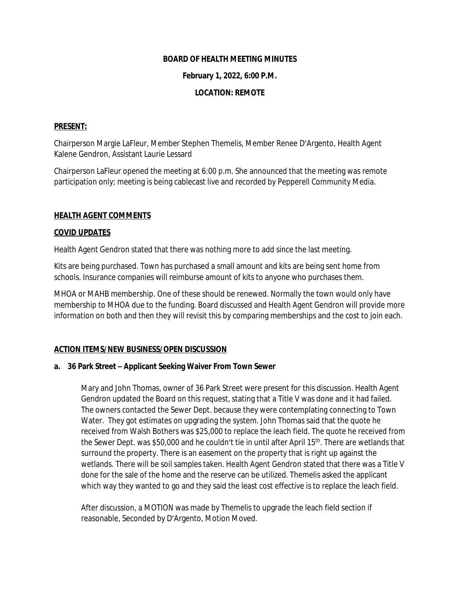### **BOARD OF HEALTH MEETING MINUTES**

### **February 1, 2022, 6:00 P.M.**

# **LOCATION: REMOTE**

### **PRESENT:**

Chairperson Margie LaFleur, Member Stephen Themelis, Member Renee D'Argento, Health Agent Kalene Gendron, Assistant Laurie Lessard

Chairperson LaFleur opened the meeting at 6:00 p.m. She announced that the meeting was remote participation only; meeting is being cablecast live and recorded by Pepperell Community Media.

### **HEALTH AGENT COMMENTS**

#### **COVID UPDATES**

Health Agent Gendron stated that there was nothing more to add since the last meeting.

Kits are being purchased. Town has purchased a small amount and kits are being sent home from schools. Insurance companies will reimburse amount of kits to anyone who purchases them.

MHOA or MAHB membership. One of these should be renewed. Normally the town would only have membership to MHOA due to the funding. Board discussed and Health Agent Gendron will provide more information on both and then they will revisit this by comparing memberships and the cost to join each.

# **ACTION ITEMS/NEW BUSINESS/OPEN DISCUSSION**

#### **a. 36 Park Street – Applicant Seeking Waiver From Town Sewer**

Mary and John Thomas, owner of 36 Park Street were present for this discussion. Health Agent Gendron updated the Board on this request, stating that a Title V was done and it had failed. The owners contacted the Sewer Dept. because they were contemplating connecting to Town Water. They got estimates on upgrading the system. John Thomas said that the quote he received from Walsh Bothers was \$25,000 to replace the leach field. The quote he received from the Sewer Dept. was \$50,000 and he couldn't tie in until after April 15<sup>th</sup>. There are wetlands that surround the property. There is an easement on the property that is right up against the wetlands. There will be soil samples taken. Health Agent Gendron stated that there was a Title V done for the sale of the home and the reserve can be utilized. Themelis asked the applicant which way they wanted to go and they said the least cost effective is to replace the leach field.

After discussion, a MOTION was made by Themelis to upgrade the leach field section if reasonable, Seconded by D'Argento, Motion Moved.